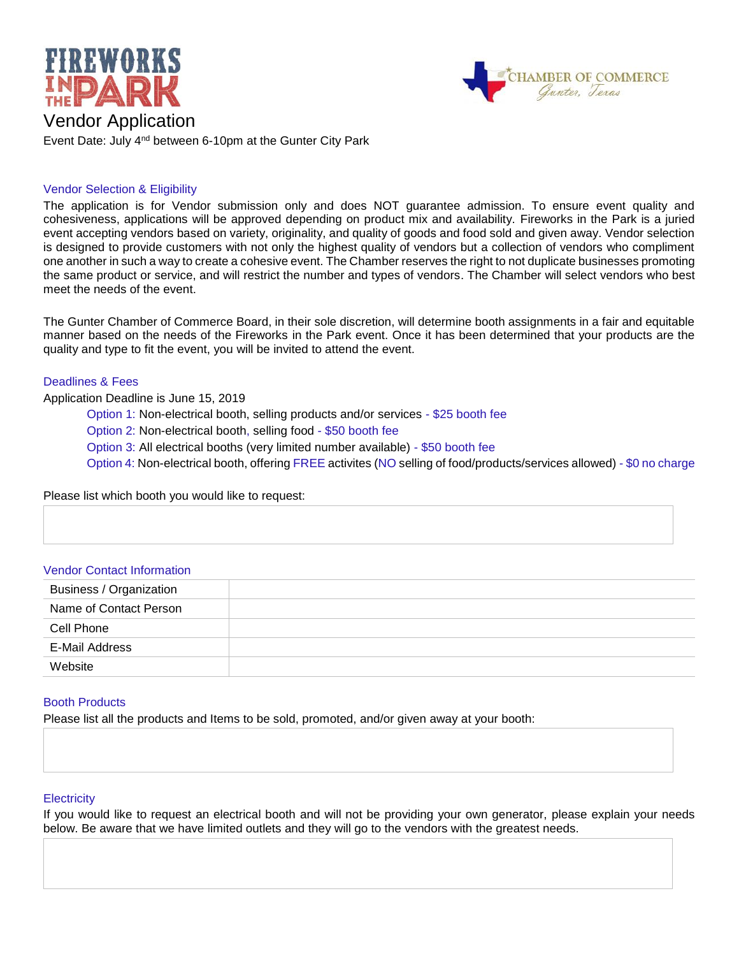



Event Date: July 4nd between 6-10pm at the Gunter City Park

# Vendor Selection & Eligibility

The application is for Vendor submission only and does NOT guarantee admission. To ensure event quality and cohesiveness, applications will be approved depending on product mix and availability. Fireworks in the Park is a juried event accepting vendors based on variety, originality, and quality of goods and food sold and given away. Vendor selection is designed to provide customers with not only the highest quality of vendors but a collection of vendors who compliment one another in such a way to create a cohesive event. The Chamber reserves the right to not duplicate businesses promoting the same product or service, and will restrict the number and types of vendors. The Chamber will select vendors who best meet the needs of the event.

The Gunter Chamber of Commerce Board, in their sole discretion, will determine booth assignments in a fair and equitable manner based on the needs of the Fireworks in the Park event. Once it has been determined that your products are the quality and type to fit the event, you will be invited to attend the event.

## Deadlines & Fees

Application Deadline is June 15, 2019

Option 1: Non-electrical booth, selling products and/or services - \$25 booth fee

Option 2: Non-electrical booth, selling food - \$50 booth fee

Option 3: All electrical booths (very limited number available) - \$50 booth fee

Option 4: Non-electrical booth, offering FREE activites (NO selling of food/products/services allowed) - \$0 no charge

## Please list which booth you would like to request:

## Vendor Contact Information

| <b>Business / Organization</b> |  |
|--------------------------------|--|
| Name of Contact Person         |  |
| Cell Phone                     |  |
| E-Mail Address                 |  |
| Website                        |  |

## Booth Products

Please list all the products and Items to be sold, promoted, and/or given away at your booth:

## **Electricity**

If you would like to request an electrical booth and will not be providing your own generator, please explain your needs below. Be aware that we have limited outlets and they will go to the vendors with the greatest needs.